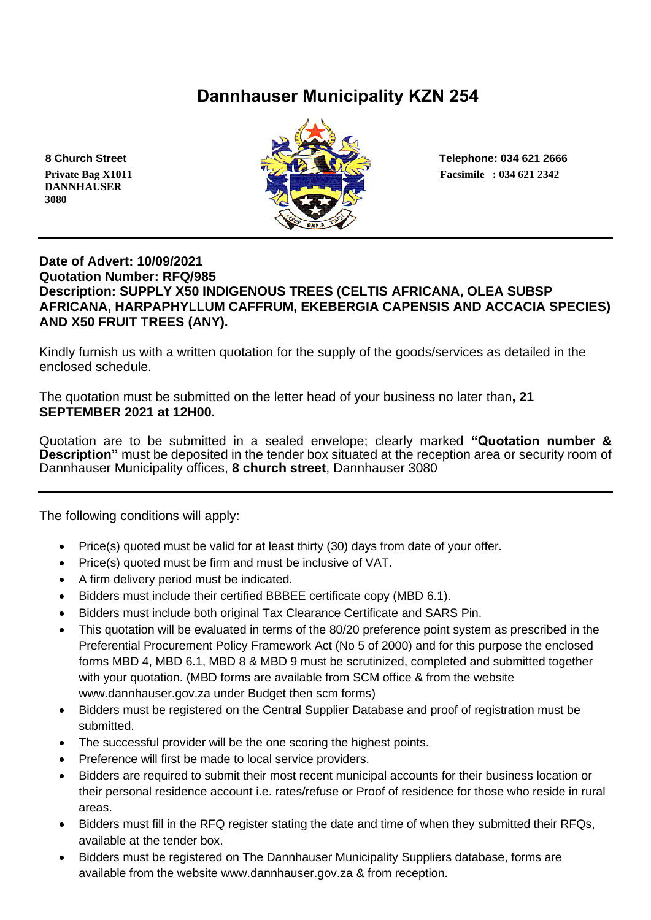# **Dannhauser Municipality KZN 254**

 **DANNHAUSER 3080** 



### **Date of Advert: 10/09/2021 Quotation Number: RFQ/985 Description: SUPPLY X50 INDIGENOUS TREES (CELTIS AFRICANA, OLEA SUBSP AFRICANA, HARPAPHYLLUM CAFFRUM, EKEBERGIA CAPENSIS AND ACCACIA SPECIES) AND X50 FRUIT TREES (ANY).**

Kindly furnish us with a written quotation for the supply of the goods/services as detailed in the enclosed schedule.

The quotation must be submitted on the letter head of your business no later than**, 21 SEPTEMBER 2021 at 12H00.**

Quotation are to be submitted in a sealed envelope; clearly marked **"Quotation number & Description"** must be deposited in the tender box situated at the reception area or security room of Dannhauser Municipality offices, **8 church street**, Dannhauser 3080

The following conditions will apply:

- Price(s) quoted must be valid for at least thirty (30) days from date of your offer.
- Price(s) quoted must be firm and must be inclusive of VAT.
- A firm delivery period must be indicated.
- Bidders must include their certified BBBEE certificate copy (MBD 6.1).
- Bidders must include both original Tax Clearance Certificate and SARS Pin.
- This quotation will be evaluated in terms of the 80/20 preference point system as prescribed in the Preferential Procurement Policy Framework Act (No 5 of 2000) and for this purpose the enclosed forms MBD 4, MBD 6.1, MBD 8 & MBD 9 must be scrutinized, completed and submitted together with your quotation. (MBD forms are available from SCM office & from the website www.dannhauser.gov.za under Budget then scm forms)
- Bidders must be registered on the Central Supplier Database and proof of registration must be submitted.
- The successful provider will be the one scoring the highest points.
- Preference will first be made to local service providers.
- Bidders are required to submit their most recent municipal accounts for their business location or their personal residence account i.e. rates/refuse or Proof of residence for those who reside in rural areas.
- Bidders must fill in the RFQ register stating the date and time of when they submitted their RFQs. available at the tender box.
- Bidders must be registered on The Dannhauser Municipality Suppliers database, forms are available from the website www.dannhauser.gov.za & from reception.